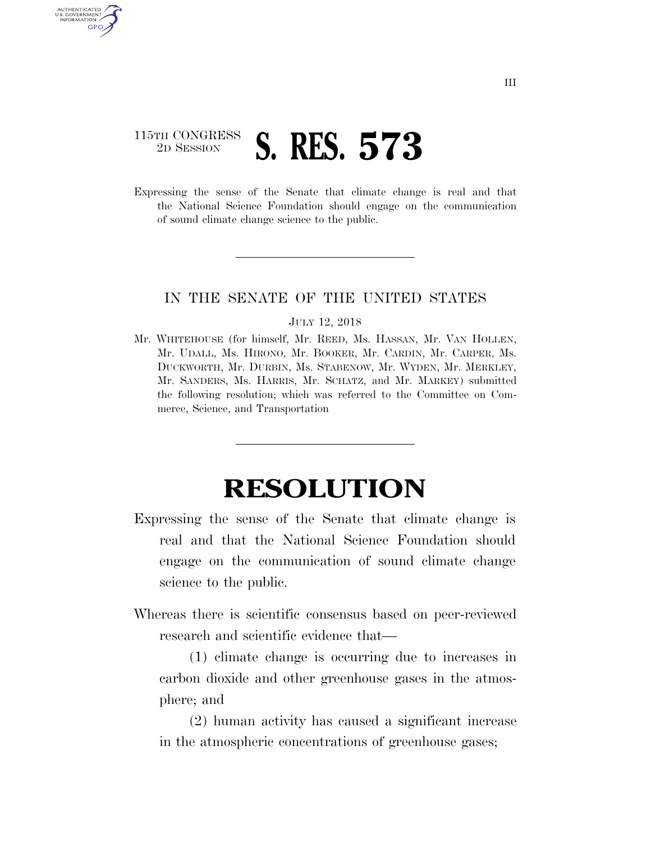## 115TH CONGRESS<br>2D SESSION 2D SESSION **S. RES. 573**

U.S. GOVERNMENT GPO

> Expressing the sense of the Senate that climate change is real and that the National Science Foundation should engage on the communication of sound climate change science to the public.

## IN THE SENATE OF THE UNITED STATES

## JULY 12, 2018

Mr. WHITEHOUSE (for himself, Mr. REED, Ms. HASSAN, Mr. VAN HOLLEN, Mr. UDALL, Ms. HIRONO, Mr. BOOKER, Mr. CARDIN, Mr. CARPER, Ms. DUCKWORTH, Mr. DURBIN, Ms. STABENOW, Mr. WYDEN, Mr. MERKLEY, Mr. SANDERS, Ms. HARRIS, Mr. SCHATZ, and Mr. MARKEY) submitted the following resolution; which was referred to the Committee on Commerce, Science, and Transportation

## **RESOLUTION**

- Expressing the sense of the Senate that climate change is real and that the National Science Foundation should engage on the communication of sound climate change science to the public.
- Whereas there is scientific consensus based on peer-reviewed research and scientific evidence that—

(1) climate change is occurring due to increases in carbon dioxide and other greenhouse gases in the atmosphere; and

(2) human activity has caused a significant increase in the atmospheric concentrations of greenhouse gases;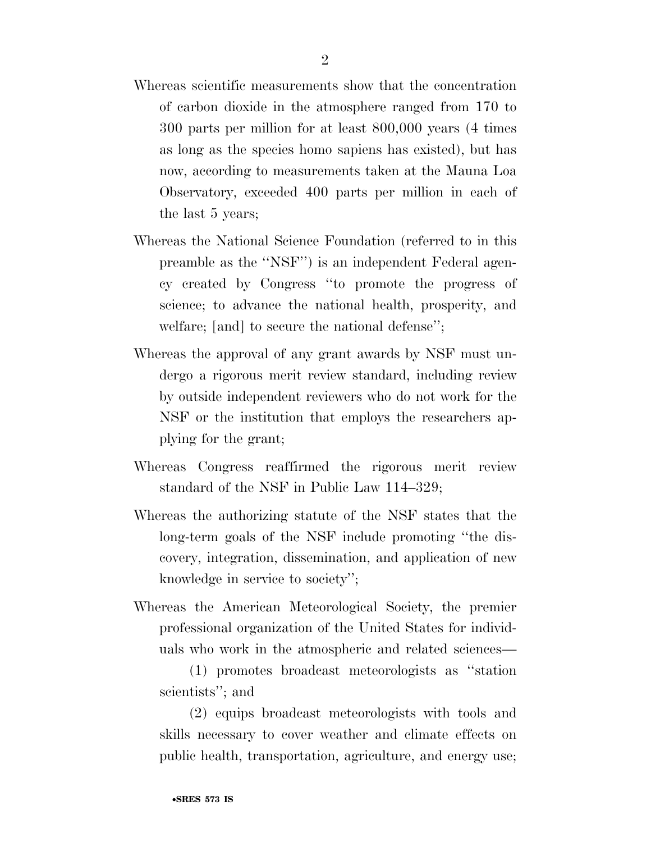- Whereas scientific measurements show that the concentration of carbon dioxide in the atmosphere ranged from 170 to 300 parts per million for at least 800,000 years (4 times as long as the species homo sapiens has existed), but has now, according to measurements taken at the Mauna Loa Observatory, exceeded 400 parts per million in each of the last 5 years;
- Whereas the National Science Foundation (referred to in this preamble as the ''NSF'') is an independent Federal agency created by Congress ''to promote the progress of science; to advance the national health, prosperity, and welfare; [and] to secure the national defense'';
- Whereas the approval of any grant awards by NSF must undergo a rigorous merit review standard, including review by outside independent reviewers who do not work for the NSF or the institution that employs the researchers applying for the grant;
- Whereas Congress reaffirmed the rigorous merit review standard of the NSF in Public Law 114–329;
- Whereas the authorizing statute of the NSF states that the long-term goals of the NSF include promoting ''the discovery, integration, dissemination, and application of new knowledge in service to society'';
- Whereas the American Meteorological Society, the premier professional organization of the United States for individuals who work in the atmospheric and related sciences—

(1) promotes broadcast meteorologists as ''station scientists''; and

(2) equips broadcast meteorologists with tools and skills necessary to cover weather and climate effects on public health, transportation, agriculture, and energy use;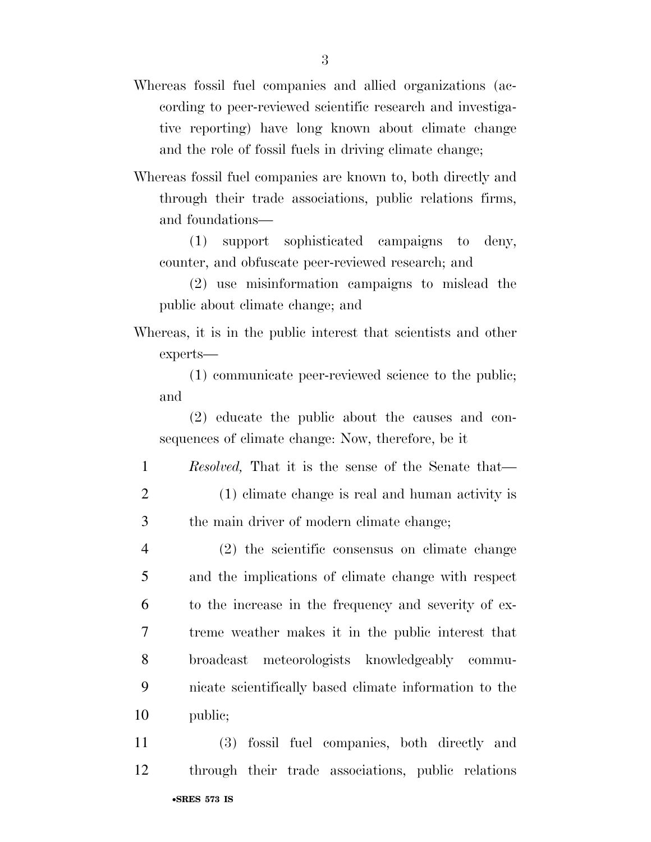- Whereas fossil fuel companies and allied organizations (according to peer-reviewed scientific research and investigative reporting) have long known about climate change and the role of fossil fuels in driving climate change;
- Whereas fossil fuel companies are known to, both directly and through their trade associations, public relations firms, and foundations—

(1) support sophisticated campaigns to deny, counter, and obfuscate peer-reviewed research; and

(2) use misinformation campaigns to mislead the public about climate change; and

Whereas, it is in the public interest that scientists and other experts—

(1) communicate peer-reviewed science to the public; and

(2) educate the public about the causes and consequences of climate change: Now, therefore, be it

- 1 *Resolved,* That it is the sense of the Senate that— 2 (1) climate change is real and human activity is
- 3 the main driver of modern climate change;
- 4 (2) the scientific consensus on climate change 5 and the implications of climate change with respect 6 to the increase in the frequency and severity of ex-7 treme weather makes it in the public interest that 8 broadcast meteorologists knowledgeably commu-9 nicate scientifically based climate information to the 10 public;
- •**SRES 573 IS**  11 (3) fossil fuel companies, both directly and 12 through their trade associations, public relations